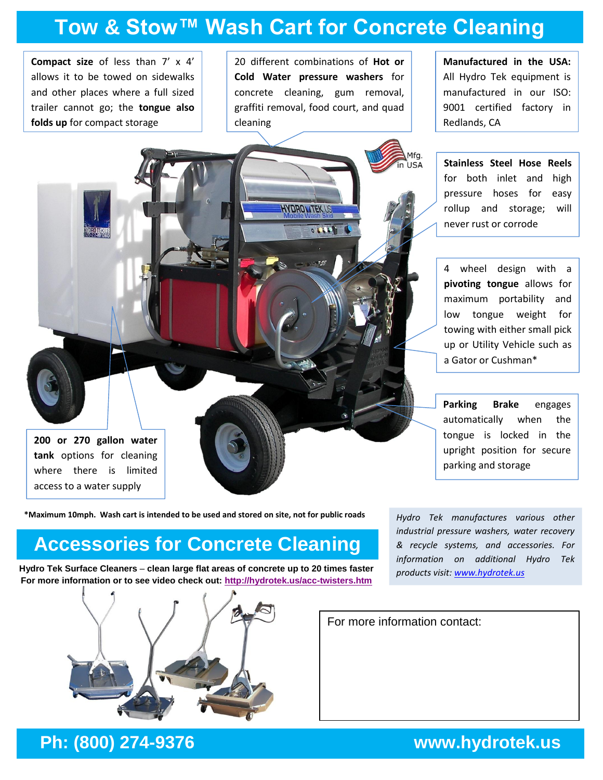## **Tow & Stow™ Wash Cart for Concrete Cleaning**

**Compact size** of less than 7' x 4' allows it to be towed on sidewalks and other places where a full sized trailer cannot go; the **tongue also folds up** for compact storage

20 different combinations of **Hot or Cold Water pressure washers** for concrete cleaning, gum removal, graffiti removal, food court, and quad cleaning

**HYDRONTEK** U

 $140300$ 

**Manufactured in the USA:**  All Hydro Tek equipment is manufactured in our ISO: 9001 certified factory in Redlands, CA

**Stainless Steel Hose Reels** for both inlet and high pressure hoses for easy rollup and storage; will never rust or corrode

4 wheel design with a **pivoting tongue** allows for maximum portability and low tongue weight for towing with either small pick up or Utility Vehicle such as a Gator or Cushman\*

**Parking Brake** engages automatically when the tongue is locked in the upright position for secure parking and storage

**\*Maximum 10mph. Wash cart is intended to be used and stored on site, not for public roads**

### **Accessories for Concrete Cleaning**

**Hydro Tek Surface Cleaners** – **clean large flat areas of concrete up to 20 times faster For more information or to see video check out: <http://hydrotek.us/acc-twisters.htm>**



*Hydro Tek manufactures various other industrial pressure washers, water recovery & recycle systems, and accessories. For information on additional Hydro Tek products visit[: www.hydrotek.us](www.hydrotek.us)*

For more information contact:

### **Ph: (800) 274-9376 www.hydrotek.us**

**200 or 270 gallon water tank** options for cleaning where there is limited access to a water supply